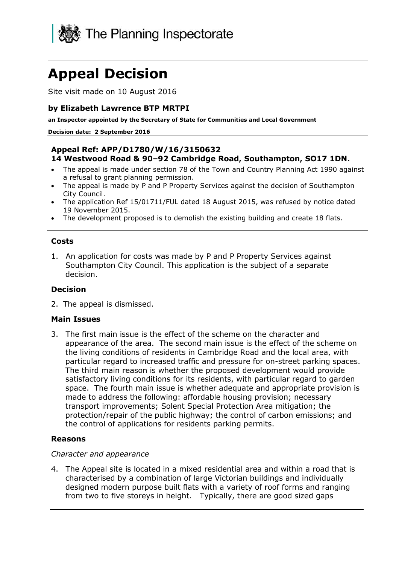

# **Appeal Decision**

Site visit made on 10 August 2016

### **by Elizabeth Lawrence BTP MRTPI**

**an Inspector appointed by the Secretary of State for Communities and Local Government**

#### **Decision date: 2 September 2016**

#### **Appeal Ref: APP/D1780/W/16/3150632 14 Westwood Road & 90–92 Cambridge Road, Southampton, SO17 1DN.**

- The appeal is made under section 78 of the Town and Country Planning Act 1990 against a refusal to grant planning permission.
- The appeal is made by P and P Property Services against the decision of Southampton City Council.
- The application Ref 15/01711/FUL dated 18 August 2015, was refused by notice dated 19 November 2015.
- The development proposed is to demolish the existing building and create 18 flats.

#### **Costs**

1. An application for costs was made by P and P Property Services against Southampton City Council. This application is the subject of a separate decision.

### **Decision**

2. The appeal is dismissed.

#### **Main Issues**

3. The first main issue is the effect of the scheme on the character and appearance of the area. The second main issue is the effect of the scheme on the living conditions of residents in Cambridge Road and the local area, with particular regard to increased traffic and pressure for on-street parking spaces. The third main reason is whether the proposed development would provide satisfactory living conditions for its residents, with particular regard to garden space. The fourth main issue is whether adequate and appropriate provision is made to address the following: affordable housing provision; necessary transport improvements; Solent Special Protection Area mitigation; the protection/repair of the public highway; the control of carbon emissions; and the control of applications for residents parking permits.

### **Reasons**

#### *Character and appearance*

4. The Appeal site is located in a mixed residential area and within a road that is characterised by a combination of large Victorian buildings and individually designed modern purpose built flats with a variety of roof forms and ranging from two to five storeys in height. Typically, there are good sized gaps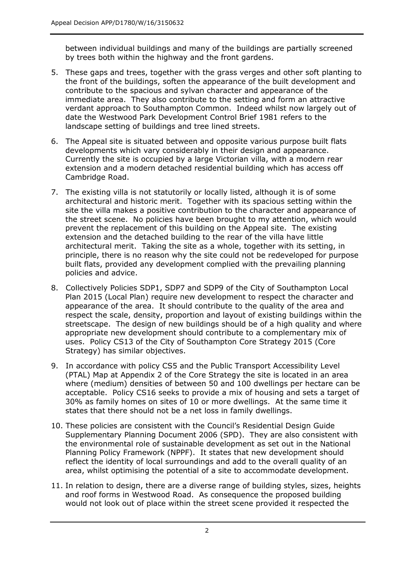between individual buildings and many of the buildings are partially screened by trees both within the highway and the front gardens.

- 5. These gaps and trees, together with the grass verges and other soft planting to the front of the buildings, soften the appearance of the built development and contribute to the spacious and sylvan character and appearance of the immediate area. They also contribute to the setting and form an attractive verdant approach to Southampton Common. Indeed whilst now largely out of date the Westwood Park Development Control Brief 1981 refers to the landscape setting of buildings and tree lined streets.
- 6. The Appeal site is situated between and opposite various purpose built flats developments which vary considerably in their design and appearance. Currently the site is occupied by a large Victorian villa, with a modern rear extension and a modern detached residential building which has access off Cambridge Road.
- 7. The existing villa is not statutorily or locally listed, although it is of some architectural and historic merit. Together with its spacious setting within the site the villa makes a positive contribution to the character and appearance of the street scene. No policies have been brought to my attention, which would prevent the replacement of this building on the Appeal site. The existing extension and the detached building to the rear of the villa have little architectural merit. Taking the site as a whole, together with its setting, in principle, there is no reason why the site could not be redeveloped for purpose built flats, provided any development complied with the prevailing planning policies and advice.
- 8. Collectively Policies SDP1, SDP7 and SDP9 of the City of Southampton Local Plan 2015 (Local Plan) require new development to respect the character and appearance of the area. It should contribute to the quality of the area and respect the scale, density, proportion and layout of existing buildings within the streetscape. The design of new buildings should be of a high quality and where appropriate new development should contribute to a complementary mix of uses. Policy CS13 of the City of Southampton Core Strategy 2015 (Core Strategy) has similar objectives.
- 9. In accordance with policy CS5 and the Public Transport Accessibility Level (PTAL) Map at Appendix 2 of the Core Strategy the site is located in an area where (medium) densities of between 50 and 100 dwellings per hectare can be acceptable. Policy CS16 seeks to provide a mix of housing and sets a target of 30% as family homes on sites of 10 or more dwellings. At the same time it states that there should not be a net loss in family dwellings.
- 10. These policies are consistent with the Council's Residential Design Guide Supplementary Planning Document 2006 (SPD). They are also consistent with the environmental role of sustainable development as set out in the National Planning Policy Framework (NPPF). It states that new development should reflect the identity of local surroundings and add to the overall quality of an area, whilst optimising the potential of a site to accommodate development.
- 11. In relation to design, there are a diverse range of building styles, sizes, heights and roof forms in Westwood Road. As consequence the proposed building would not look out of place within the street scene provided it respected the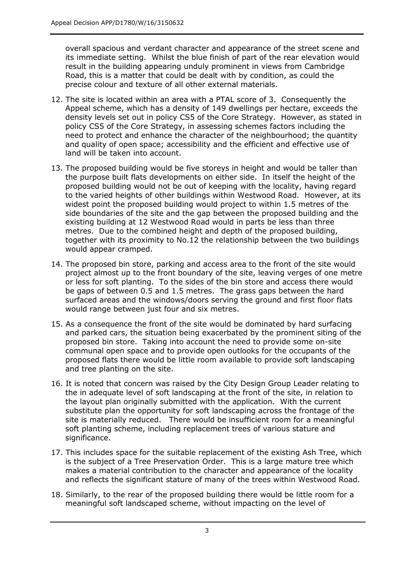overall spacious and verdant character and appearance of the street scene and its immediate setting. Whilst the blue finish of part of the rear elevation would result in the building appearing unduly prominent in views from Cambridge Road, this is a matter that could be dealt with by condition, as could the precise colour and texture of all other external materials.

- 12. The site is located within an area with a PTAL score of 3. Consequently the Appeal scheme, which has a density of 149 dwellings per hectare, exceeds the density levels set out in policy CS5 of the Core Strategy. However, as stated in policy CS5 of the Core Strategy, in assessing schemes factors including the need to protect and enhance the character of the neighbourhood; the quantity and quality of open space; accessibility and the efficient and effective use of land will be taken into account.
- 13. The proposed building would be five storeys in height and would be taller than the purpose built flats developments on either side. In itself the height of the proposed building would not be out of keeping with the locality, having regard to the varied heights of other buildings within Westwood Road. However, at its widest point the proposed building would project to within 1.5 metres of the side boundaries of the site and the gap between the proposed building and the existing building at 12 Westwood Road would in parts be less than three metres. Due to the combined height and depth of the proposed building, together with its proximity to No.12 the relationship between the two buildings would appear cramped.
- 14. The proposed bin store, parking and access area to the front of the site would project almost up to the front boundary of the site, leaving verges of one metre or less for soft planting. To the sides of the bin store and access there would be gaps of between 0.5 and 1.5 metres. The grass gaps between the hard surfaced areas and the windows/doors serving the ground and first floor flats would range between just four and six metres.
- 15. As a consequence the front of the site would be dominated by hard surfacing and parked cars, the situation being exacerbated by the prominent siting of the proposed bin store. Taking into account the need to provide some on-site communal open space and to provide open outlooks for the occupants of the proposed flats there would be little room available to provide soft landscaping and tree planting on the site.
- 16. It is noted that concern was raised by the City Design Group Leader relating to the in adequate level of soft landscaping at the front of the site, in relation to the layout plan originally submitted with the application. With the current substitute plan the opportunity for soft landscaping across the frontage of the site is materially reduced. There would be insufficient room for a meaningful soft planting scheme, including replacement trees of various stature and significance.
- 17. This includes space for the suitable replacement of the existing Ash Tree, which is the subject of a Tree Preservation Order. This is a large mature tree which makes a material contribution to the character and appearance of the locality and reflects the significant stature of many of the trees within Westwood Road.
- 18. Similarly, to the rear of the proposed building there would be little room for a meaningful soft landscaped scheme, without impacting on the level of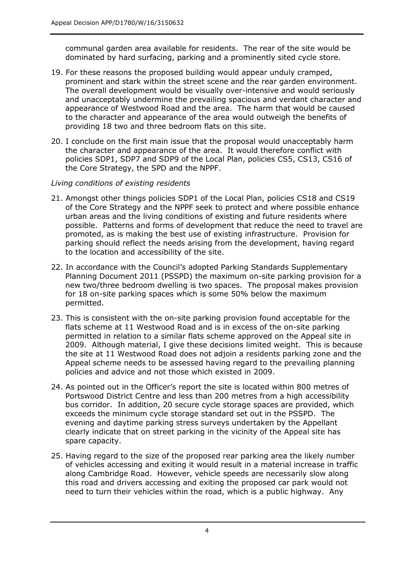communal garden area available for residents. The rear of the site would be dominated by hard surfacing, parking and a prominently sited cycle store.

- 19. For these reasons the proposed building would appear unduly cramped, prominent and stark within the street scene and the rear garden environment. The overall development would be visually over-intensive and would seriously and unacceptably undermine the prevailing spacious and verdant character and appearance of Westwood Road and the area. The harm that would be caused to the character and appearance of the area would outweigh the benefits of providing 18 two and three bedroom flats on this site.
- 20. I conclude on the first main issue that the proposal would unacceptably harm the character and appearance of the area. It would therefore conflict with policies SDP1, SDP7 and SDP9 of the Local Plan, policies CS5, CS13, CS16 of the Core Strategy, the SPD and the NPPF.

### *Living conditions of existing residents*

- 21. Amongst other things policies SDP1 of the Local Plan, policies CS18 and CS19 of the Core Strategy and the NPPF seek to protect and where possible enhance urban areas and the living conditions of existing and future residents where possible. Patterns and forms of development that reduce the need to travel are promoted, as is making the best use of existing infrastructure. Provision for parking should reflect the needs arising from the development, having regard to the location and accessibility of the site.
- 22. In accordance with the Council's adopted Parking Standards Supplementary Planning Document 2011 (PSSPD) the maximum on-site parking provision for a new two/three bedroom dwelling is two spaces. The proposal makes provision for 18 on-site parking spaces which is some 50% below the maximum permitted.
- 23. This is consistent with the on-site parking provision found acceptable for the flats scheme at 11 Westwood Road and is in excess of the on-site parking permitted in relation to a similar flats scheme approved on the Appeal site in 2009. Although material, I give these decisions limited weight. This is because the site at 11 Westwood Road does not adjoin a residents parking zone and the Appeal scheme needs to be assessed having regard to the prevailing planning policies and advice and not those which existed in 2009.
- 24. As pointed out in the Officer's report the site is located within 800 metres of Portswood District Centre and less than 200 metres from a high accessibility bus corridor. In addition, 20 secure cycle storage spaces are provided, which exceeds the minimum cycle storage standard set out in the PSSPD. The evening and daytime parking stress surveys undertaken by the Appellant clearly indicate that on street parking in the vicinity of the Appeal site has spare capacity.
- 25. Having regard to the size of the proposed rear parking area the likely number of vehicles accessing and exiting it would result in a material increase in traffic along Cambridge Road. However, vehicle speeds are necessarily slow along this road and drivers accessing and exiting the proposed car park would not need to turn their vehicles within the road, which is a public highway. Any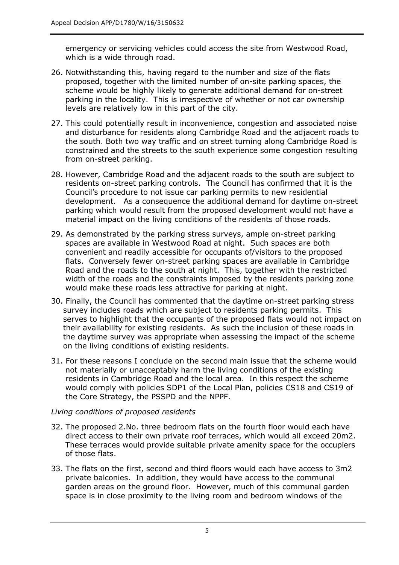emergency or servicing vehicles could access the site from Westwood Road, which is a wide through road.

- 26. Notwithstanding this, having regard to the number and size of the flats proposed, together with the limited number of on-site parking spaces, the scheme would be highly likely to generate additional demand for on-street parking in the locality. This is irrespective of whether or not car ownership levels are relatively low in this part of the city.
- 27. This could potentially result in inconvenience, congestion and associated noise and disturbance for residents along Cambridge Road and the adjacent roads to the south. Both two way traffic and on street turning along Cambridge Road is constrained and the streets to the south experience some congestion resulting from on-street parking.
- 28. However, Cambridge Road and the adjacent roads to the south are subject to residents on-street parking controls. The Council has confirmed that it is the Council's procedure to not issue car parking permits to new residential development. As a consequence the additional demand for daytime on-street parking which would result from the proposed development would not have a material impact on the living conditions of the residents of those roads.
- 29. As demonstrated by the parking stress surveys, ample on-street parking spaces are available in Westwood Road at night. Such spaces are both convenient and readily accessible for occupants of/visitors to the proposed flats. Conversely fewer on-street parking spaces are available in Cambridge Road and the roads to the south at night. This, together with the restricted width of the roads and the constraints imposed by the residents parking zone would make these roads less attractive for parking at night.
- 30. Finally, the Council has commented that the daytime on-street parking stress survey includes roads which are subject to residents parking permits. This serves to highlight that the occupants of the proposed flats would not impact on their availability for existing residents. As such the inclusion of these roads in the daytime survey was appropriate when assessing the impact of the scheme on the living conditions of existing residents.
- 31. For these reasons I conclude on the second main issue that the scheme would not materially or unacceptably harm the living conditions of the existing residents in Cambridge Road and the local area. In this respect the scheme would comply with policies SDP1 of the Local Plan, policies CS18 and CS19 of the Core Strategy, the PSSPD and the NPPF.

### *Living conditions of proposed residents*

- 32. The proposed 2.No. three bedroom flats on the fourth floor would each have direct access to their own private roof terraces, which would all exceed 20m2. These terraces would provide suitable private amenity space for the occupiers of those flats.
- 33. The flats on the first, second and third floors would each have access to 3m2 private balconies. In addition, they would have access to the communal garden areas on the ground floor. However, much of this communal garden space is in close proximity to the living room and bedroom windows of the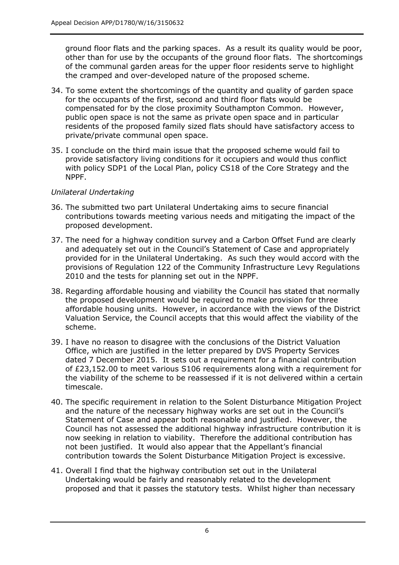ground floor flats and the parking spaces. As a result its quality would be poor, other than for use by the occupants of the ground floor flats. The shortcomings of the communal garden areas for the upper floor residents serve to highlight the cramped and over-developed nature of the proposed scheme.

- 34. To some extent the shortcomings of the quantity and quality of garden space for the occupants of the first, second and third floor flats would be compensated for by the close proximity Southampton Common. However, public open space is not the same as private open space and in particular residents of the proposed family sized flats should have satisfactory access to private/private communal open space.
- 35. I conclude on the third main issue that the proposed scheme would fail to provide satisfactory living conditions for it occupiers and would thus conflict with policy SDP1 of the Local Plan, policy CS18 of the Core Strategy and the NPPF.

## *Unilateral Undertaking*

- 36. The submitted two part Unilateral Undertaking aims to secure financial contributions towards meeting various needs and mitigating the impact of the proposed development.
- 37. The need for a highway condition survey and a Carbon Offset Fund are clearly and adequately set out in the Council's Statement of Case and appropriately provided for in the Unilateral Undertaking. As such they would accord with the provisions of Regulation 122 of the Community Infrastructure Levy Regulations 2010 and the tests for planning set out in the NPPF.
- 38. Regarding affordable housing and viability the Council has stated that normally the proposed development would be required to make provision for three affordable housing units. However, in accordance with the views of the District Valuation Service, the Council accepts that this would affect the viability of the scheme.
- 39. I have no reason to disagree with the conclusions of the District Valuation Office, which are justified in the letter prepared by DVS Property Services dated 7 December 2015. It sets out a requirement for a financial contribution of £23,152.00 to meet various S106 requirements along with a requirement for the viability of the scheme to be reassessed if it is not delivered within a certain timescale.
- 40. The specific requirement in relation to the Solent Disturbance Mitigation Project and the nature of the necessary highway works are set out in the Council's Statement of Case and appear both reasonable and justified. However, the Council has not assessed the additional highway infrastructure contribution it is now seeking in relation to viability. Therefore the additional contribution has not been justified. It would also appear that the Appellant's financial contribution towards the Solent Disturbance Mitigation Project is excessive.
- 41. Overall I find that the highway contribution set out in the Unilateral Undertaking would be fairly and reasonably related to the development proposed and that it passes the statutory tests. Whilst higher than necessary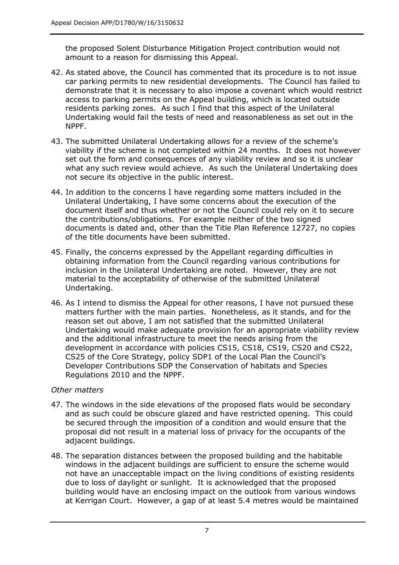the proposed Solent Disturbance Mitigation Project contribution would not amount to a reason for dismissing this Appeal.

- 42. As stated above, the Council has commented that its procedure is to not issue car parking permits to new residential developments. The Council has failed to demonstrate that it is necessary to also impose a covenant which would restrict access to parking permits on the Appeal building, which is located outside residents parking zones. As such I find that this aspect of the Unilateral Undertaking would fail the tests of need and reasonableness as set out in the NPPF.
- 43. The submitted Unilateral Undertaking allows for a review of the scheme's viability if the scheme is not completed within 24 months. It does not however set out the form and consequences of any viability review and so it is unclear what any such review would achieve. As such the Unilateral Undertaking does not secure its objective in the public interest.
- 44. In addition to the concerns I have regarding some matters included in the Unilateral Undertaking, I have some concerns about the execution of the document itself and thus whether or not the Council could rely on it to secure the contributions/obligations. For example neither of the two signed documents is dated and, other than the Title Plan Reference 12727, no copies of the title documents have been submitted.
- 45. Finally, the concerns expressed by the Appellant regarding difficulties in obtaining information from the Council regarding various contributions for inclusion in the Unilateral Undertaking are noted. However, they are not material to the acceptability of otherwise of the submitted Unilateral Undertaking.
- 46. As I intend to dismiss the Appeal for other reasons, I have not pursued these matters further with the main parties. Nonetheless, as it stands, and for the reason set out above, I am not satisfied that the submitted Unilateral Undertaking would make adequate provision for an appropriate viability review and the additional infrastructure to meet the needs arising from the development in accordance with policies CS15, CS18, CS19, CS20 and CS22, CS25 of the Core Strategy, policy SDP1 of the Local Plan the Council's Developer Contributions SDP the Conservation of habitats and Species Regulations 2010 and the NPPF.

## *Other matters*

- 47. The windows in the side elevations of the proposed flats would be secondary and as such could be obscure glazed and have restricted opening. This could be secured through the imposition of a condition and would ensure that the proposal did not result in a material loss of privacy for the occupants of the adjacent buildings.
- 48. The separation distances between the proposed building and the habitable windows in the adjacent buildings are sufficient to ensure the scheme would not have an unacceptable impact on the living conditions of existing residents due to loss of daylight or sunlight. It is acknowledged that the proposed building would have an enclosing impact on the outlook from various windows at Kerrigan Court. However, a gap of at least 5.4 metres would be maintained